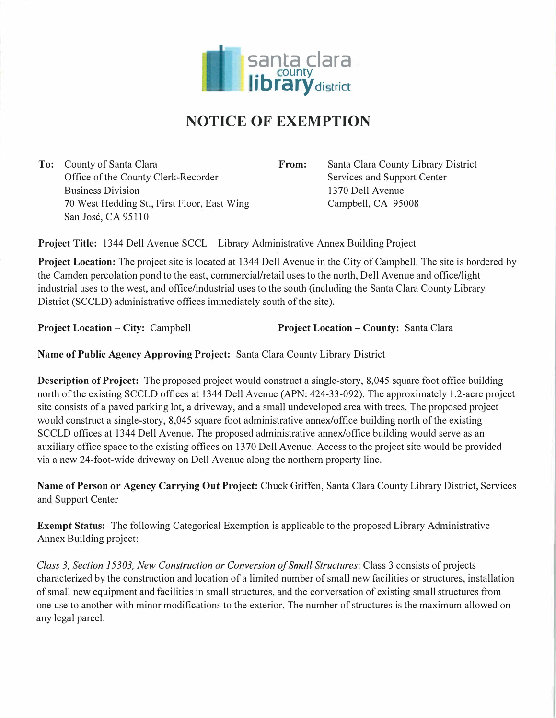

## **NOTICE OF EXEMPTION**

**To:** County of Santa Clara Office of the County Clerk-Recorder Business Division 70 West Hedding St., First Floor, East Wing San Jose, CA 95110

**From:** Santa Clara County Library District Services and Suppott Center 1370 Dell Avenue Campbell, CA 95008

**Project Title:** 1344 Dell Avenue SCCL – Library Administrative Annex Building Project

**Project Location:** The project site is located at 1344 Dell Avenue in the City of Campbell. The site is bordered by the Camden percolation pond to the east, commercial/retail uses to the north, Dell Avenue and office/light industrial uses to the west, and office/industrial uses to the south (including the Santa Clara County Library District (SCCLD) administrative offices immediately south of the site).

**Project Location** - **City:** Campbell **Project Location** - **County:** Santa Clara

**Name of Public Agency Approving Project:** Santa Clara County Library District

**Description of Project:** The proposed project would construct a single-story, 8,045 square foot office building north of the existing SCCLD offices at 1344 Dell Avenue (APN: 424-33-092). The approximately 1.2-acre project site consists of a paved parking lot, a driveway, and a small undeveloped area with trees. The proposed project would construct a single-story, 8,045 square foot administrative annex/office building north of the existing SCCLD offices at 1344 Dell Avenue. The proposed administrative annex/office building would serve as an auxiliary office space to the existing offices on 1370 Dell Avenue. Access to the project site would be provided via a new 24-foot-wide driveway on Dell Avenue along the northern property line.

**Name of Person or Agency Carrying Out Project:** Chuck Griffen, Santa Clara County Library District, Services and Suppott Center

**Exempt Status:** The following Categorical Exemption is applicable to the proposed Library Administrative Annex Building project:

*Class 3, Section 15303, New Const<sup>r</sup>uction or Conversion of Small Structures:* Class 3 consists of projects characterized by the construction and location of a limited number of small new facilities or structures, installation of small new equipment and facilities in small structures, and the conversation of existing small structures from one use to another with minor modifications to the exterior. The number of structures is the maximum allowed on any legal parcel.